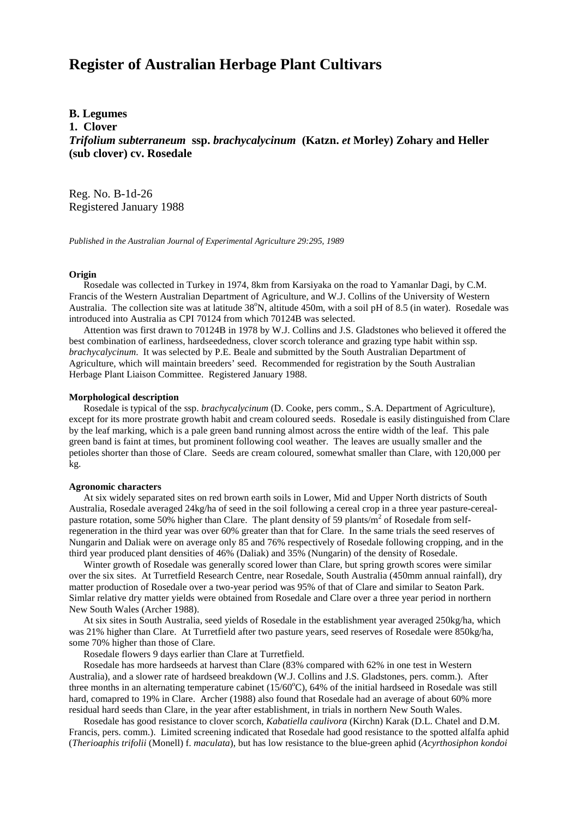# **Register of Australian Herbage Plant Cultivars**

## **B. Legumes**

**1. Clover**

*Trifolium subterraneum* **ssp.** *brachycalycinum* **(Katzn.** *et* **Morley) Zohary and Heller (sub clover) cv. Rosedale**

Reg. No. B-1d-26 Registered January 1988

*Published in the Australian Journal of Experimental Agriculture 29:295, 1989*

#### **Origin**

 Rosedale was collected in Turkey in 1974, 8km from Karsiyaka on the road to Yamanlar Dagi, by C.M. Francis of the Western Australian Department of Agriculture, and W.J. Collins of the University of Western Australia. The collection site was at latitude 38°N, altitude 450m, with a soil pH of 8.5 (in water). Rosedale was introduced into Australia as CPI 70124 from which 70124B was selected.

 Attention was first drawn to 70124B in 1978 by W.J. Collins and J.S. Gladstones who believed it offered the best combination of earliness, hardseededness, clover scorch tolerance and grazing type habit within ssp. *brachycalycinum*. It was selected by P.E. Beale and submitted by the South Australian Department of Agriculture, which will maintain breeders' seed. Recommended for registration by the South Australian Herbage Plant Liaison Committee. Registered January 1988.

#### **Morphological description**

 Rosedale is typical of the ssp. *brachycalycinum* (D. Cooke, pers comm., S.A. Department of Agriculture), except for its more prostrate growth habit and cream coloured seeds. Rosedale is easily distinguished from Clare by the leaf marking, which is a pale green band running almost across the entire width of the leaf. This pale green band is faint at times, but prominent following cool weather. The leaves are usually smaller and the petioles shorter than those of Clare. Seeds are cream coloured, somewhat smaller than Clare, with 120,000 per kg.

#### **Agronomic characters**

At six widely separated sites on red brown earth soils in Lower, Mid and Upper North districts of South Australia, Rosedale averaged 24kg/ha of seed in the soil following a cereal crop in a three year pasture-cerealpasture rotation, some 50% higher than Clare. The plant density of 59 plants/ $m^2$  of Rosedale from selfregeneration in the third year was over 60% greater than that for Clare. In the same trials the seed reserves of Nungarin and Daliak were on average only 85 and 76% respectively of Rosedale following cropping, and in the third year produced plant densities of 46% (Daliak) and 35% (Nungarin) of the density of Rosedale.

 Winter growth of Rosedale was generally scored lower than Clare, but spring growth scores were similar over the six sites. At Turretfield Research Centre, near Rosedale, South Australia (450mm annual rainfall), dry matter production of Rosedale over a two-year period was 95% of that of Clare and similar to Seaton Park. Simlar relative dry matter yields were obtained from Rosedale and Clare over a three year period in northern New South Wales (Archer 1988).

 At six sites in South Australia, seed yields of Rosedale in the establishment year averaged 250kg/ha, which was 21% higher than Clare. At Turretfield after two pasture years, seed reserves of Rosedale were 850kg/ha, some 70% higher than those of Clare.

Rosedale flowers 9 days earlier than Clare at Turretfield.

 Rosedale has more hardseeds at harvest than Clare (83% compared with 62% in one test in Western Australia), and a slower rate of hardseed breakdown (W.J. Collins and J.S. Gladstones, pers. comm.). After three months in an alternating temperature cabinet  $(15/60^{\circ}$ C), 64% of the initial hardseed in Rosedale was still hard, comapred to 19% in Clare. Archer (1988) also found that Rosedale had an average of about 60% more residual hard seeds than Clare, in the year after establishment, in trials in northern New South Wales.

 Rosedale has good resistance to clover scorch, *Kabatiella caulivora* (Kirchn) Karak (D.L. Chatel and D.M. Francis, pers. comm.). Limited screening indicated that Rosedale had good resistance to the spotted alfalfa aphid (*Therioaphis trifolii* (Monell) f. *maculata*), but has low resistance to the blue-green aphid (*Acyrthosiphon kondoi*